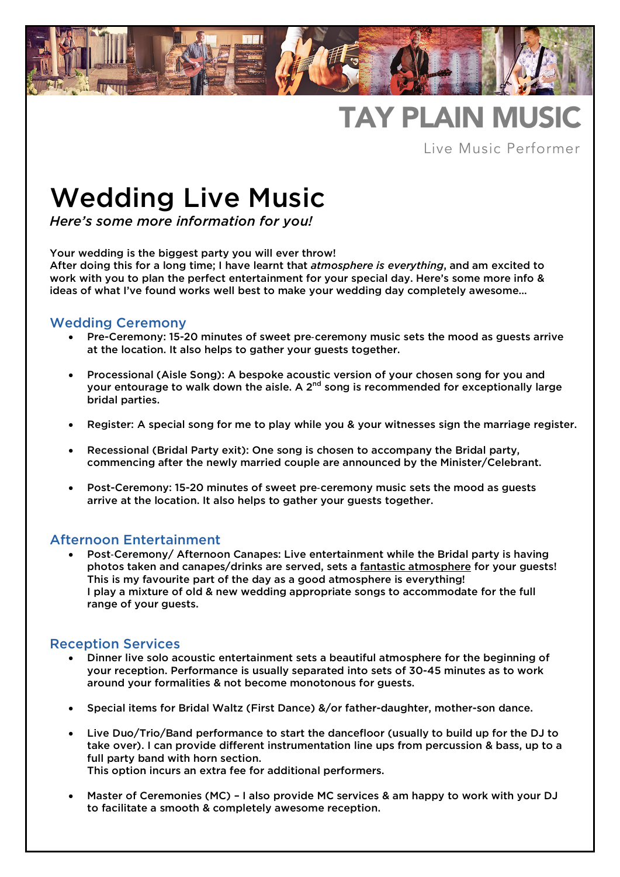

# TAY PLAIN MUSIC

Live Music Performer

# Wedding Live Music

*Here's some more information for you!* 

Your wedding is the biggest party you will ever throw!

After doing this for a long time; I have learnt that *atmosphere is everything*, and am excited to work with you to plan the perfect entertainment for your special day. Here's some more info & ideas of what I've found works well best to make your wedding day completely awesome…

# Wedding Ceremony

- Pre-Ceremony: 15-20 minutes of sweet pre-ceremony music sets the mood as guests arrive at the location. It also helps to gather your guests together.
- Processional (Aisle Song): A bespoke acoustic version of your chosen song for you and your entourage to walk down the aisle. A  $2<sup>nd</sup>$  song is recommended for exceptionally large bridal parties.
- Register: A special song for me to play while you & your witnesses sign the marriage register.
- Recessional (Bridal Party exit): One song is chosen to accompany the Bridal party, commencing after the newly married couple are announced by the Minister/Celebrant.
- Post-Ceremony: 15-20 minutes of sweet pre-ceremony music sets the mood as guests arrive at the location. It also helps to gather your guests together.

## Afternoon Entertainment

• Post-Ceremony/ Afternoon Canapes: Live entertainment while the Bridal party is having photos taken and canapes/drinks are served, sets a fantastic atmosphere for your guests! This is my favourite part of the day as a good atmosphere is everything! I play a mixture of old & new wedding appropriate songs to accommodate for the full range of your guests.

## Reception Services

- Dinner live solo acoustic entertainment sets a beautiful atmosphere for the beginning of your reception. Performance is usually separated into sets of 30-45 minutes as to work around your formalities & not become monotonous for guests.
- Special items for Bridal Waltz (First Dance) &/or father-daughter, mother-son dance.
- Live Duo/Trio/Band performance to start the dancefloor (usually to build up for the DJ to take over). I can provide different instrumentation line ups from percussion & bass, up to a full party band with horn section. This option incurs an extra fee for additional performers.
- Master of Ceremonies (MC) I also provide MC services & am happy to work with your DJ to facilitate a smooth & completely awesome reception.